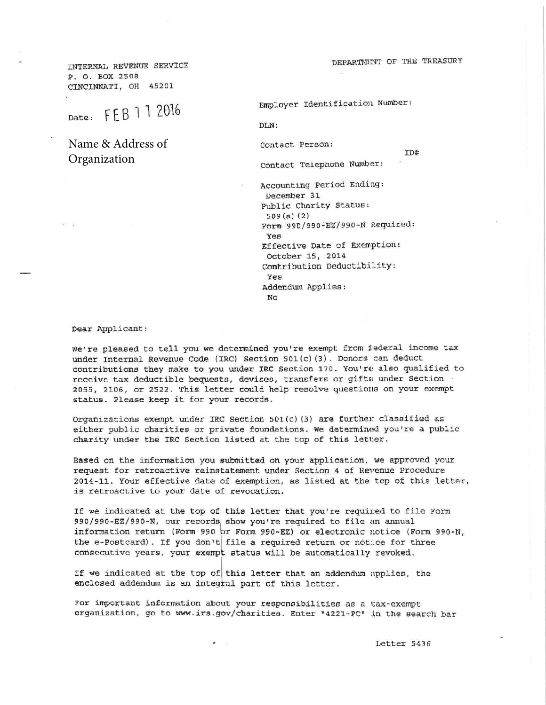DEPARTMENT OF THE TREASURY

ID#

INTERNAL REVENUE SERVICE P. O. BOX 2508 CINCINNATI, OH 45201

Date: FEB 1 1 2016

Name & Address of Organization

Employer Identification Number:

DLN:

Contact Person:

contact Telepnone Nwnber:

Accounting Period Ending: December 31 Public Charity Status: 509 (a) (2) Form 990/990-EZ/990-N Required: Yes Effective Date of EXemption: October 15, 2014 contribution Deductibility: Yes Addendum Applies:  $N<sub>O</sub>$ 

Dear Applicant:

We're pleased to tell you we determined you're exempt from federal income tax under Internal Revenue Code (IRC) Section 501(c)(3). Donors can deduct contributions they make to you under IRC Section 170. You're also qualified to receive tax deductible bequests, devises, transfers or gifts under Section 2055, 2106, or 2522. This letter could help resolve questions on your exempt status. Please keep it for your records.

organizations exempt under IRC Section 501(c) (3} are further classified as either public charities or private foundations. We determined you're a public charity under the IRC Section listed at the top of this letter.

Based on the information you submitted on your application, we approved your request for retroactive reinstatement under Section 4 of Revenue Procedure 2014-11. Your effective date of exemption, as listed at the top of this letter, is retroactive to your date of revocation.

If we indicated at the top of this letter that you're required to file Form 990/990-EZ/990-N, our records, show you're required to file an annual information return (Form 990 br Form 990-EZ} or electronic notice (Form 990 -N, the e-Postcard). If you don't file a required return or notice for three consecutive years, your exempt status will be automatically revoked.

If we indicated at the top of this letter that an addendum applies, the enclosed addendum is an integral part of this letter.

For important information about your responsibilities as a tax-exempt organization, go to www.irs.gov/charities. Enter "4221-PC" in the search bar

Letter 5436